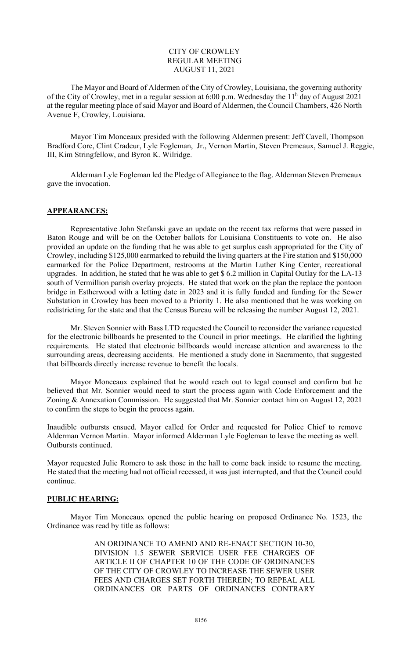## CITY OF CROWLEY REGULAR MEETING AUGUST 11, 2021

The Mayor and Board of Aldermen of the City of Crowley, Louisiana, the governing authority of the City of Crowley, met in a regular session at 6:00 p.m. Wednesday the 11<sup>h</sup> day of August 2021 at the regular meeting place of said Mayor and Board of Aldermen, the Council Chambers, 426 North Avenue F, Crowley, Louisiana.

 Mayor Tim Monceaux presided with the following Aldermen present: Jeff Cavell, Thompson Bradford Core, Clint Cradeur, Lyle Fogleman, Jr., Vernon Martin, Steven Premeaux, Samuel J. Reggie, III, Kim Stringfellow, and Byron K. Wilridge.

Alderman Lyle Fogleman led the Pledge of Allegiance to the flag. Alderman Steven Premeaux gave the invocation.

### APPEARANCES:

Representative John Stefanski gave an update on the recent tax reforms that were passed in Baton Rouge and will be on the October ballots for Louisiana Constituents to vote on. He also provided an update on the funding that he was able to get surplus cash appropriated for the City of Crowley, including \$125,000 earmarked to rebuild the living quarters at the Fire station and \$150,000 earmarked for the Police Department, restrooms at the Martin Luther King Center, recreational upgrades. In addition, he stated that he was able to get \$ 6.2 million in Capital Outlay for the LA-13 south of Vermillion parish overlay projects. He stated that work on the plan the replace the pontoon bridge in Estherwood with a letting date in 2023 and it is fully funded and funding for the Sewer Substation in Crowley has been moved to a Priority 1. He also mentioned that he was working on redistricting for the state and that the Census Bureau will be releasing the number August 12, 2021.

 Mr. Steven Sonnier with Bass LTD requested the Council to reconsider the variance requested for the electronic billboards he presented to the Council in prior meetings. He clarified the lighting requirements. He stated that electronic billboards would increase attention and awareness to the surrounding areas, decreasing accidents. He mentioned a study done in Sacramento, that suggested that billboards directly increase revenue to benefit the locals.

 Mayor Monceaux explained that he would reach out to legal counsel and confirm but he believed that Mr. Sonnier would need to start the process again with Code Enforcement and the Zoning & Annexation Commission. He suggested that Mr. Sonnier contact him on August 12, 2021 to confirm the steps to begin the process again.

Inaudible outbursts ensued. Mayor called for Order and requested for Police Chief to remove Alderman Vernon Martin. Mayor informed Alderman Lyle Fogleman to leave the meeting as well. Outbursts continued.

Mayor requested Julie Romero to ask those in the hall to come back inside to resume the meeting. He stated that the meeting had not official recessed, it was just interrupted, and that the Council could continue.

### PUBLIC HEARING:

 Mayor Tim Monceaux opened the public hearing on proposed Ordinance No. 1523, the Ordinance was read by title as follows:

> AN ORDINANCE TO AMEND AND RE-ENACT SECTION 10-30, DIVISION 1.5 SEWER SERVICE USER FEE CHARGES OF ARTICLE II OF CHAPTER 10 OF THE CODE OF ORDINANCES OF THE CITY OF CROWLEY TO INCREASE THE SEWER USER FEES AND CHARGES SET FORTH THEREIN; TO REPEAL ALL ORDINANCES OR PARTS OF ORDINANCES CONTRARY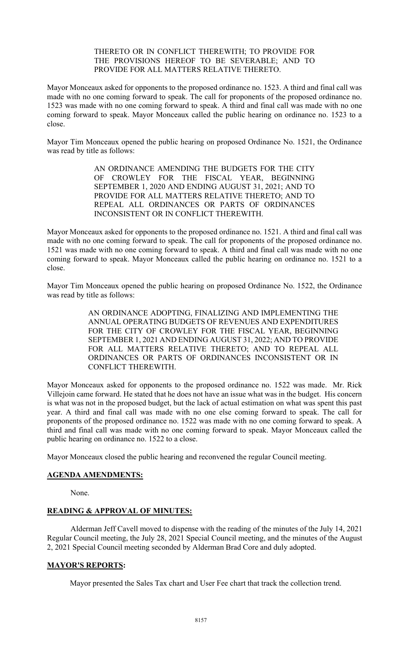### THERETO OR IN CONFLICT THEREWITH; TO PROVIDE FOR THE PROVISIONS HEREOF TO BE SEVERABLE; AND TO PROVIDE FOR ALL MATTERS RELATIVE THERETO.

Mayor Monceaux asked for opponents to the proposed ordinance no. 1523. A third and final call was made with no one coming forward to speak. The call for proponents of the proposed ordinance no. 1523 was made with no one coming forward to speak. A third and final call was made with no one coming forward to speak. Mayor Monceaux called the public hearing on ordinance no. 1523 to a close.

Mayor Tim Monceaux opened the public hearing on proposed Ordinance No. 1521, the Ordinance was read by title as follows:

> AN ORDINANCE AMENDING THE BUDGETS FOR THE CITY OF CROWLEY FOR THE FISCAL YEAR, BEGINNING SEPTEMBER 1, 2020 AND ENDING AUGUST 31, 2021; AND TO PROVIDE FOR ALL MATTERS RELATIVE THERETO; AND TO REPEAL ALL ORDINANCES OR PARTS OF ORDINANCES INCONSISTENT OR IN CONFLICT THEREWITH.

Mayor Monceaux asked for opponents to the proposed ordinance no. 1521. A third and final call was made with no one coming forward to speak. The call for proponents of the proposed ordinance no. 1521 was made with no one coming forward to speak. A third and final call was made with no one coming forward to speak. Mayor Monceaux called the public hearing on ordinance no. 1521 to a close.

Mayor Tim Monceaux opened the public hearing on proposed Ordinance No. 1522, the Ordinance was read by title as follows:

> AN ORDINANCE ADOPTING, FINALIZING AND IMPLEMENTING THE ANNUAL OPERATING BUDGETS OF REVENUES AND EXPENDITURES FOR THE CITY OF CROWLEY FOR THE FISCAL YEAR, BEGINNING SEPTEMBER 1, 2021 AND ENDING AUGUST 31, 2022; AND TO PROVIDE FOR ALL MATTERS RELATIVE THERETO; AND TO REPEAL ALL ORDINANCES OR PARTS OF ORDINANCES INCONSISTENT OR IN CONFLICT THEREWITH.

Mayor Monceaux asked for opponents to the proposed ordinance no. 1522 was made. Mr. Rick Villejoin came forward. He stated that he does not have an issue what was in the budget. His concern is what was not in the proposed budget, but the lack of actual estimation on what was spent this past year. A third and final call was made with no one else coming forward to speak. The call for proponents of the proposed ordinance no. 1522 was made with no one coming forward to speak. A third and final call was made with no one coming forward to speak. Mayor Monceaux called the public hearing on ordinance no. 1522 to a close.

Mayor Monceaux closed the public hearing and reconvened the regular Council meeting.

### AGENDA AMENDMENTS:

None.

### READING & APPROVAL OF MINUTES:

Alderman Jeff Cavell moved to dispense with the reading of the minutes of the July 14, 2021 Regular Council meeting, the July 28, 2021 Special Council meeting, and the minutes of the August 2, 2021 Special Council meeting seconded by Alderman Brad Core and duly adopted.

### MAYOR'S REPORTS:

Mayor presented the Sales Tax chart and User Fee chart that track the collection trend.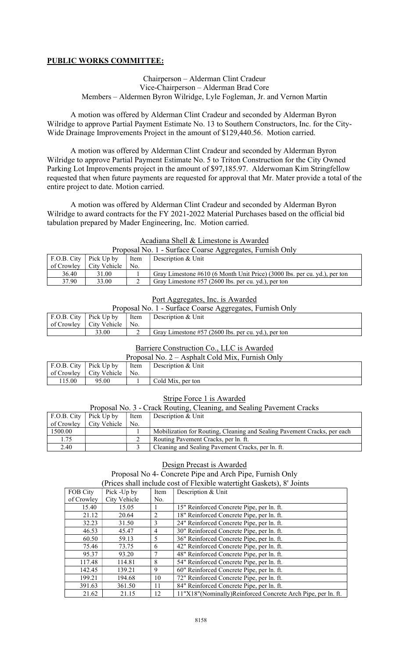## PUBLIC WORKS COMMITTEE:

### Chairperson – Alderman Clint Cradeur Vice-Chairperson – Alderman Brad Core Members – Aldermen Byron Wilridge, Lyle Fogleman, Jr. and Vernon Martin

A motion was offered by Alderman Clint Cradeur and seconded by Alderman Byron Wilridge to approve Partial Payment Estimate No. 13 to Southern Constructors, Inc. for the City-Wide Drainage Improvements Project in the amount of \$129,440.56. Motion carried.

A motion was offered by Alderman Clint Cradeur and seconded by Alderman Byron Wilridge to approve Partial Payment Estimate No. 5 to Triton Construction for the City Owned Parking Lot Improvements project in the amount of \$97,185.97. Alderwoman Kim Stringfellow requested that when future payments are requested for approval that Mr. Mater provide a total of the entire project to date. Motion carried.

A motion was offered by Alderman Clint Cradeur and seconded by Alderman Byron Wilridge to award contracts for the FY 2021-2022 Material Purchases based on the official bid tabulation prepared by Mader Engineering, Inc. Motion carried.

### Acadiana Shell & Limestone is Awarded

| Proposal No. 1 - Surface Coarse Aggregates, Furnish Only |              |      |                                                                              |  |  |
|----------------------------------------------------------|--------------|------|------------------------------------------------------------------------------|--|--|
| F.O.B. City $ $ Pick Up by                               |              | Item | Description & Unit                                                           |  |  |
| of Crowley                                               | City Vehicle | No.  |                                                                              |  |  |
| 36.40                                                    | 31.00        |      | Gray Limestone $\#610$ (6 Month Unit Price) (3000 lbs. per cu. yd.), per ton |  |  |
| 37.90                                                    | 33.00        |      | Gray Limestone #57 (2600 lbs. per cu. yd.), per ton                          |  |  |

### Port Aggregates, Inc. is Awarded

| Proposal No. 1 - Surface Coarse Aggregates, Furnish Only |                                 |  |                                                     |  |  |
|----------------------------------------------------------|---------------------------------|--|-----------------------------------------------------|--|--|
| F.O.B. City   Pick Up by   Item<br>Description & Unit    |                                 |  |                                                     |  |  |
|                                                          | of Crowley   City Vehicle   No. |  |                                                     |  |  |
|                                                          | 33.00                           |  | Gray Limestone #57 (2600 lbs. per cu. yd.), per ton |  |  |

#### Barriere Construction Co., LLC is Awarded

| Proposal No. $2 -$ Asphalt Cold Mix, Furnish Only |                           |                 |                    |  |  |
|---------------------------------------------------|---------------------------|-----------------|--------------------|--|--|
| F.O.B. City $ $ Pick Up by                        |                           | Item            | Description & Unit |  |  |
|                                                   | of Crowley   City Vehicle | $^{\prime}$ No. |                    |  |  |
| 115.00                                            | 95.00                     |                 | Cold Mix, per ton  |  |  |

### Stripe Force 1 is Awarded

| Proposal No. 3 - Crack Routing, Cleaning, and Sealing Pavement Cracks |              |         |                                                                          |  |  |  |
|-----------------------------------------------------------------------|--------------|---------|--------------------------------------------------------------------------|--|--|--|
| F.O.B. City                                                           | Pick Up by   | Item    | Description & Unit                                                       |  |  |  |
| of Crowley                                                            | City Vehicle | $'$ No. |                                                                          |  |  |  |
| 1500.00                                                               |              |         | Mobilization for Routing, Cleaning and Sealing Pavement Cracks, per each |  |  |  |
| 1.75                                                                  |              |         | Routing Pavement Cracks, per ln. ft.                                     |  |  |  |
| 2.40                                                                  |              |         | Cleaning and Sealing Pavement Cracks, per ln. ft.                        |  |  |  |

### Design Precast is Awarded Proposal No 4- Concrete Pipe and Arch Pipe, Furnish Only (Prices shall include cost of Flexible watertight Gaskets), 8' Joints

| THrough share there are the cost of Treature watering in Gashets f, O Tomas |              |                |                                                                |  |  |
|-----------------------------------------------------------------------------|--------------|----------------|----------------------------------------------------------------|--|--|
| FOB City                                                                    | Pick -Up by  | Item           | Description & Unit                                             |  |  |
| of Crowley                                                                  | City Vehicle | No.            |                                                                |  |  |
| 15.40                                                                       | 15.05        |                | 15" Reinforced Concrete Pipe, per ln. ft.                      |  |  |
| 21.12                                                                       | 20.64        | 2              | 18" Reinforced Concrete Pipe, per ln. ft.                      |  |  |
| 32.23                                                                       | 31.50        | 3              | 24" Reinforced Concrete Pipe, per ln. ft.                      |  |  |
| 46.53                                                                       | 45.47        | $\overline{4}$ | 30" Reinforced Concrete Pipe, per ln. ft.                      |  |  |
| 60.50                                                                       | 59.13        | 5              | 36" Reinforced Concrete Pipe, per ln. ft.                      |  |  |
| 75.46                                                                       | 73.75        | 6              | 42" Reinforced Concrete Pipe, per ln. ft.                      |  |  |
| 95.37                                                                       | 93.20        | 7              | 48" Reinforced Concrete Pipe, per ln. ft.                      |  |  |
| 117.48                                                                      | 114.81       | 8              | 54" Reinforced Concrete Pipe, per ln. ft.                      |  |  |
| 142.45                                                                      | 139.21       | 9              | 60" Reinforced Concrete Pipe, per ln. ft.                      |  |  |
| 199.21                                                                      | 194.68       | 10             | 72" Reinforced Concrete Pipe, per ln. ft.                      |  |  |
| 391.63                                                                      | 361.50       | 11             | 84" Reinforced Concrete Pipe, per ln. ft.                      |  |  |
| 21.62                                                                       | 21.15        | 12             | 11"X18" (Nominally) Reinforced Concrete Arch Pipe, per ln. ft. |  |  |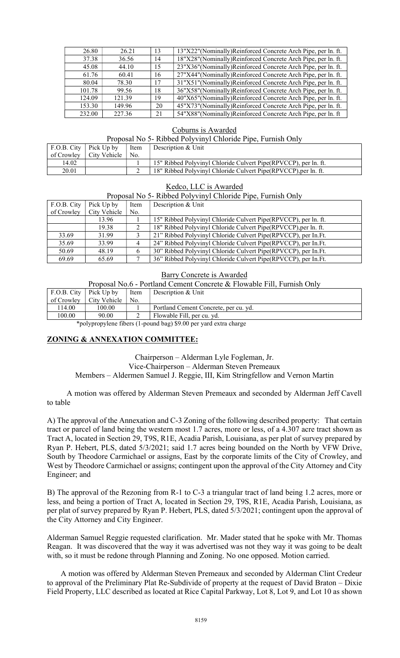| 26.80  | 26.21  | 13 | 13"X22"(Nominally)Reinforced Concrete Arch Pipe, per ln. ft.   |
|--------|--------|----|----------------------------------------------------------------|
| 37.38  | 36.56  | 14 | 18"X28"(Nominally)Reinforced Concrete Arch Pipe, per ln. ft.   |
| 45.08  | 44.10  | 15 | 23"X36" (Nominally) Reinforced Concrete Arch Pipe, per ln. ft. |
| 61.76  | 60.41  | 16 | 27"X44"(Nominally)Reinforced Concrete Arch Pipe, per ln. ft.   |
| 80.04  | 78.30  | 17 | 31"X51" (Nominally) Reinforced Concrete Arch Pipe, per ln. ft. |
| 101.78 | 99.56  | 18 | 36"X58"(Nominally)Reinforced Concrete Arch Pipe, per ln. ft.   |
| 124.09 | 121.39 | 19 | 40"X65"(Nominally)Reinforced Concrete Arch Pipe, per ln. ft.   |
| 153.30 | 149.96 | 20 | 45"X73" (Nominally) Reinforced Concrete Arch Pipe, per ln. ft. |
| 232.00 | 227.36 | 21 | 54"X88"(Nominally)Reinforced Concrete Arch Pipe, per ln. ft    |

#### Coburns is Awarded

#### Proposal No 5- Ribbed Polyvinyl Chloride Pipe, Furnish Only

| F.O.B. City $\vert$ Pick Up by | Item | Description & Unit                                               |
|--------------------------------|------|------------------------------------------------------------------|
| of Crowley   City Vehicle      | No.  |                                                                  |
| 14.02                          |      | 15" Ribbed Polyvinyl Chloride Culvert Pipe (RPVCCP), per ln. ft. |
| 20.01                          |      | 18" Ribbed Polyvinyl Chloride Culvert Pipe(RPVCCP), per ln. ft.  |

#### Kedco, LLC is Awarded

Proposal No 5- Ribbed Polyvinyl Chloride Pipe, Furnish Only

| F.O.B. City | Pick Up by   | Item | Description & Unit                                               |
|-------------|--------------|------|------------------------------------------------------------------|
| of Crowley  | City Vehicle | No.  |                                                                  |
|             | 13.96        |      | 15" Ribbed Polyvinyl Chloride Culvert Pipe (RPVCCP), per ln. ft. |
|             | 19.38        |      | 18" Ribbed Polyvinyl Chloride Culvert Pipe (RPVCCP), per ln. ft. |
| 33.69       | 31.99        |      | 21" Ribbed Polyvinyl Chloride Culvert Pipe (RPVCCP), per In. Ft. |
| 35.69       | 33.99        |      | 24" Ribbed Polyvinyl Chloride Culvert Pipe (RPVCCP), per In. Ft. |
| 50.69       | 48.19        |      | 30" Ribbed Polyvinyl Chloride Culvert Pipe(RPVCCP), per In.Ft.   |
| 69.69       | 65.69        |      | 36" Ribbed Polyvinyl Chloride Culvert Pipe(RPVCCP), per In.Ft.   |

#### Barry Concrete is Awarded

Proposal No.6 - Portland Cement Concrete & Flowable Fill, Furnish Only

|        | F.O.B. City $ $ Pick Up by | Item | Description & Unit                    |
|--------|----------------------------|------|---------------------------------------|
|        | of Crowlev   City Vehicle  | No.  |                                       |
| 114.00 | 100.00                     |      | Portland Cement Concrete, per cu. yd. |
| 100.00 | 90.00                      |      | Flowable Fill, per cu. yd.            |

\*polypropylene fibers (1-pound bag) \$9.00 per yard extra charge

### ZONING & ANNEXATION COMMITTEE:

Ξ

Chairperson – Alderman Lyle Fogleman, Jr. Vice-Chairperson – Alderman Steven Premeaux Members – Aldermen Samuel J. Reggie, III, Kim Stringfellow and Vernon Martin

 A motion was offered by Alderman Steven Premeaux and seconded by Alderman Jeff Cavell to table

A) The approval of the Annexation and C-3 Zoning of the following described property: That certain tract or parcel of land being the western most 1.7 acres, more or less, of a 4.307 acre tract shown as Tract A, located in Section 29, T9S, R1E, Acadia Parish, Louisiana, as per plat of survey prepared by Ryan P. Hebert, PLS, dated 5/3/2021; said 1.7 acres being bounded on the North by VFW Drive, South by Theodore Carmichael or assigns, East by the corporate limits of the City of Crowley, and West by Theodore Carmichael or assigns; contingent upon the approval of the City Attorney and City Engineer; and

B) The approval of the Rezoning from R-1 to C-3 a triangular tract of land being 1.2 acres, more or less, and being a portion of Tract A, located in Section 29, T9S, R1E, Acadia Parish, Louisiana, as per plat of survey prepared by Ryan P. Hebert, PLS, dated 5/3/2021; contingent upon the approval of the City Attorney and City Engineer.

Alderman Samuel Reggie requested clarification. Mr. Mader stated that he spoke with Mr. Thomas Reagan. It was discovered that the way it was advertised was not they way it was going to be dealt with, so it must be redone through Planning and Zoning. No one opposed. Motion carried.

 A motion was offered by Alderman Steven Premeaux and seconded by Alderman Clint Credeur to approval of the Preliminary Plat Re-Subdivide of property at the request of David Braton – Dixie Field Property, LLC described as located at Rice Capital Parkway, Lot 8, Lot 9, and Lot 10 as shown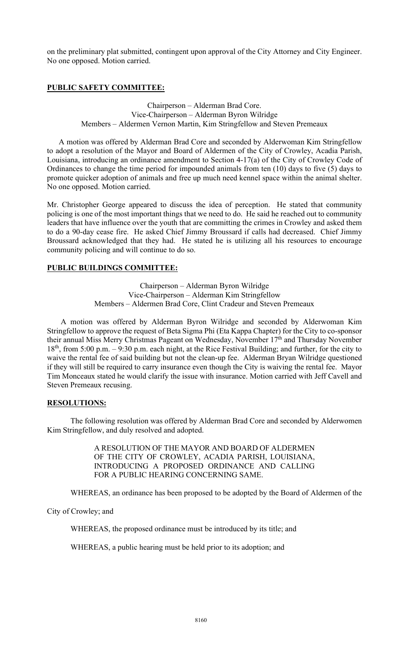on the preliminary plat submitted, contingent upon approval of the City Attorney and City Engineer. No one opposed. Motion carried.

## PUBLIC SAFETY COMMITTEE:

Chairperson – Alderman Brad Core. Vice-Chairperson – Alderman Byron Wilridge Members – Aldermen Vernon Martin, Kim Stringfellow and Steven Premeaux

 A motion was offered by Alderman Brad Core and seconded by Alderwoman Kim Stringfellow to adopt a resolution of the Mayor and Board of Aldermen of the City of Crowley, Acadia Parish, Louisiana, introducing an ordinance amendment to Section 4-17(a) of the City of Crowley Code of Ordinances to change the time period for impounded animals from ten (10) days to five (5) days to promote quicker adoption of animals and free up much need kennel space within the animal shelter. No one opposed. Motion carried.

Mr. Christopher George appeared to discuss the idea of perception. He stated that community policing is one of the most important things that we need to do. He said he reached out to community leaders that have influence over the youth that are committing the crimes in Crowley and asked them to do a 90-day cease fire. He asked Chief Jimmy Broussard if calls had decreased. Chief Jimmy Broussard acknowledged that they had. He stated he is utilizing all his resources to encourage community policing and will continue to do so.

## PUBLIC BUILDINGS COMMITTEE:

Chairperson – Alderman Byron Wilridge Vice-Chairperson – Alderman Kim Stringfellow Members – Aldermen Brad Core, Clint Cradeur and Steven Premeaux

 A motion was offered by Alderman Byron Wilridge and seconded by Alderwoman Kim Stringfellow to approve the request of Beta Sigma Phi (Eta Kappa Chapter) for the City to co-sponsor their annual Miss Merry Christmas Pageant on Wednesday, November 17<sup>th</sup> and Thursday November 18th, from 5:00 p.m. – 9:30 p.m. each night, at the Rice Festival Building; and further, for the city to waive the rental fee of said building but not the clean-up fee. Alderman Bryan Wilridge questioned if they will still be required to carry insurance even though the City is waiving the rental fee. Mayor Tim Monceaux stated he would clarify the issue with insurance. Motion carried with Jeff Cavell and Steven Premeaux recusing.

### RESOLUTIONS:

 The following resolution was offered by Alderman Brad Core and seconded by Alderwomen Kim Stringfellow, and duly resolved and adopted.

> A RESOLUTION OF THE MAYOR AND BOARD OF ALDERMEN OF THE CITY OF CROWLEY, ACADIA PARISH, LOUISIANA, INTRODUCING A PROPOSED ORDINANCE AND CALLING FOR A PUBLIC HEARING CONCERNING SAME.

WHEREAS, an ordinance has been proposed to be adopted by the Board of Aldermen of the

City of Crowley; and

WHEREAS, the proposed ordinance must be introduced by its title; and

WHEREAS, a public hearing must be held prior to its adoption; and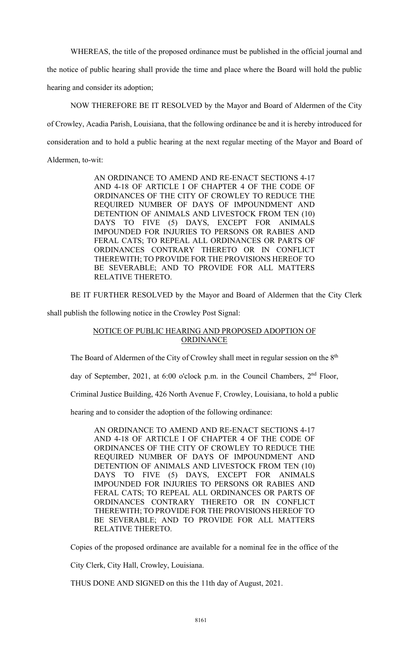WHEREAS, the title of the proposed ordinance must be published in the official journal and

the notice of public hearing shall provide the time and place where the Board will hold the public hearing and consider its adoption;

 NOW THEREFORE BE IT RESOLVED by the Mayor and Board of Aldermen of the City of Crowley, Acadia Parish, Louisiana, that the following ordinance be and it is hereby introduced for consideration and to hold a public hearing at the next regular meeting of the Mayor and Board of Aldermen, to-wit:

> AN ORDINANCE TO AMEND AND RE-ENACT SECTIONS 4-17 AND 4-18 OF ARTICLE I OF CHAPTER 4 OF THE CODE OF ORDINANCES OF THE CITY OF CROWLEY TO REDUCE THE REQUIRED NUMBER OF DAYS OF IMPOUNDMENT AND DETENTION OF ANIMALS AND LIVESTOCK FROM TEN (10) DAYS TO FIVE (5) DAYS, EXCEPT FOR ANIMALS IMPOUNDED FOR INJURIES TO PERSONS OR RABIES AND FERAL CATS; TO REPEAL ALL ORDINANCES OR PARTS OF ORDINANCES CONTRARY THERETO OR IN CONFLICT THEREWITH; TO PROVIDE FOR THE PROVISIONS HEREOF TO BE SEVERABLE; AND TO PROVIDE FOR ALL MATTERS RELATIVE THERETO.

BE IT FURTHER RESOLVED by the Mayor and Board of Aldermen that the City Clerk

shall publish the following notice in the Crowley Post Signal:

## NOTICE OF PUBLIC HEARING AND PROPOSED ADOPTION OF ORDINANCE

The Board of Aldermen of the City of Crowley shall meet in regular session on the  $8<sup>th</sup>$ 

day of September, 2021, at 6:00 o'clock p.m. in the Council Chambers,  $2<sup>nd</sup>$  Floor,

Criminal Justice Building, 426 North Avenue F, Crowley, Louisiana, to hold a public

hearing and to consider the adoption of the following ordinance:

AN ORDINANCE TO AMEND AND RE-ENACT SECTIONS 4-17 AND 4-18 OF ARTICLE I OF CHAPTER 4 OF THE CODE OF ORDINANCES OF THE CITY OF CROWLEY TO REDUCE THE REQUIRED NUMBER OF DAYS OF IMPOUNDMENT AND DETENTION OF ANIMALS AND LIVESTOCK FROM TEN (10) DAYS TO FIVE (5) DAYS, EXCEPT FOR ANIMALS IMPOUNDED FOR INJURIES TO PERSONS OR RABIES AND FERAL CATS; TO REPEAL ALL ORDINANCES OR PARTS OF ORDINANCES CONTRARY THERETO OR IN CONFLICT THEREWITH; TO PROVIDE FOR THE PROVISIONS HEREOF TO BE SEVERABLE; AND TO PROVIDE FOR ALL MATTERS RELATIVE THERETO.

Copies of the proposed ordinance are available for a nominal fee in the office of the

City Clerk, City Hall, Crowley, Louisiana.

THUS DONE AND SIGNED on this the 11th day of August, 2021.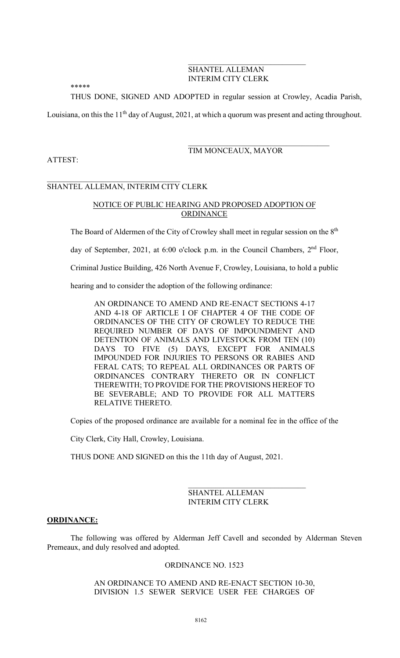## SHANTEL ALLEMAN INTERIM CITY CLERK

\*\*\*\*\*

THUS DONE, SIGNED AND ADOPTED in regular session at Crowley, Acadia Parish,

Louisiana, on this the 11<sup>th</sup> day of August, 2021, at which a quorum was present and acting throughout.

# TIM MONCEAUX, MAYOR

## ATTEST:

### $\mathcal{L}_\text{max}$  , where  $\mathcal{L}_\text{max}$  and  $\mathcal{L}_\text{max}$  and  $\mathcal{L}_\text{max}$ SHANTEL ALLEMAN, INTERIM CITY CLERK

## NOTICE OF PUBLIC HEARING AND PROPOSED ADOPTION OF **ORDINANCE**

The Board of Aldermen of the City of Crowley shall meet in regular session on the 8<sup>th</sup>

day of September, 2021, at 6:00 o'clock p.m. in the Council Chambers, 2<sup>nd</sup> Floor,

Criminal Justice Building, 426 North Avenue F, Crowley, Louisiana, to hold a public

hearing and to consider the adoption of the following ordinance:

AN ORDINANCE TO AMEND AND RE-ENACT SECTIONS 4-17 AND 4-18 OF ARTICLE I OF CHAPTER 4 OF THE CODE OF ORDINANCES OF THE CITY OF CROWLEY TO REDUCE THE REQUIRED NUMBER OF DAYS OF IMPOUNDMENT AND DETENTION OF ANIMALS AND LIVESTOCK FROM TEN (10) DAYS TO FIVE (5) DAYS, EXCEPT FOR ANIMALS IMPOUNDED FOR INJURIES TO PERSONS OR RABIES AND FERAL CATS; TO REPEAL ALL ORDINANCES OR PARTS OF ORDINANCES CONTRARY THERETO OR IN CONFLICT THEREWITH; TO PROVIDE FOR THE PROVISIONS HEREOF TO BE SEVERABLE; AND TO PROVIDE FOR ALL MATTERS RELATIVE THERETO.

Copies of the proposed ordinance are available for a nominal fee in the office of the

City Clerk, City Hall, Crowley, Louisiana.

THUS DONE AND SIGNED on this the 11th day of August, 2021.

 SHANTEL ALLEMAN INTERIM CITY CLERK

### ORDINANCE:

 The following was offered by Alderman Jeff Cavell and seconded by Alderman Steven Premeaux, and duly resolved and adopted.

### ORDINANCE NO. 1523

AN ORDINANCE TO AMEND AND RE-ENACT SECTION 10-30, DIVISION 1.5 SEWER SERVICE USER FEE CHARGES OF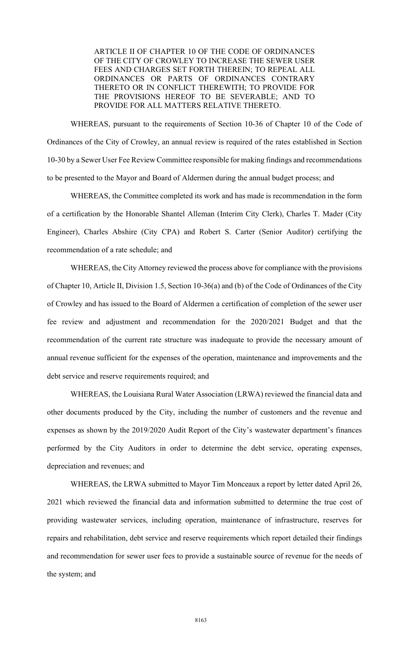ARTICLE II OF CHAPTER 10 OF THE CODE OF ORDINANCES OF THE CITY OF CROWLEY TO INCREASE THE SEWER USER FEES AND CHARGES SET FORTH THEREIN; TO REPEAL ALL ORDINANCES OR PARTS OF ORDINANCES CONTRARY THERETO OR IN CONFLICT THEREWITH; TO PROVIDE FOR THE PROVISIONS HEREOF TO BE SEVERABLE; AND TO PROVIDE FOR ALL MATTERS RELATIVE THERETO.

 WHEREAS, pursuant to the requirements of Section 10-36 of Chapter 10 of the Code of Ordinances of the City of Crowley, an annual review is required of the rates established in Section 10-30 by a Sewer User Fee Review Committee responsible for making findings and recommendations to be presented to the Mayor and Board of Aldermen during the annual budget process; and

 WHEREAS, the Committee completed its work and has made is recommendation in the form of a certification by the Honorable Shantel Alleman (Interim City Clerk), Charles T. Mader (City Engineer), Charles Abshire (City CPA) and Robert S. Carter (Senior Auditor) certifying the recommendation of a rate schedule; and

 WHEREAS, the City Attorney reviewed the process above for compliance with the provisions of Chapter 10, Article II, Division 1.5, Section 10-36(a) and (b) of the Code of Ordinances of the City of Crowley and has issued to the Board of Aldermen a certification of completion of the sewer user fee review and adjustment and recommendation for the 2020/2021 Budget and that the recommendation of the current rate structure was inadequate to provide the necessary amount of annual revenue sufficient for the expenses of the operation, maintenance and improvements and the debt service and reserve requirements required; and

 WHEREAS, the Louisiana Rural Water Association (LRWA) reviewed the financial data and other documents produced by the City, including the number of customers and the revenue and expenses as shown by the 2019/2020 Audit Report of the City's wastewater department's finances performed by the City Auditors in order to determine the debt service, operating expenses, depreciation and revenues; and

 WHEREAS, the LRWA submitted to Mayor Tim Monceaux a report by letter dated April 26, 2021 which reviewed the financial data and information submitted to determine the true cost of providing wastewater services, including operation, maintenance of infrastructure, reserves for repairs and rehabilitation, debt service and reserve requirements which report detailed their findings and recommendation for sewer user fees to provide a sustainable source of revenue for the needs of the system; and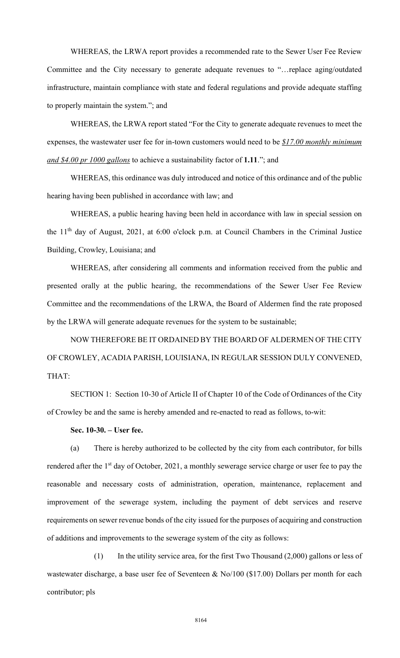WHEREAS, the LRWA report provides a recommended rate to the Sewer User Fee Review Committee and the City necessary to generate adequate revenues to "…replace aging/outdated infrastructure, maintain compliance with state and federal regulations and provide adequate staffing to properly maintain the system."; and

 WHEREAS, the LRWA report stated "For the City to generate adequate revenues to meet the expenses, the wastewater user fee for in-town customers would need to be  $$17.00$  monthly minimum and \$4.00 pr 1000 gallons to achieve a sustainability factor of 1.11."; and

 WHEREAS, this ordinance was duly introduced and notice of this ordinance and of the public hearing having been published in accordance with law; and

 WHEREAS, a public hearing having been held in accordance with law in special session on the 11th day of August, 2021, at 6:00 o'clock p.m. at Council Chambers in the Criminal Justice Building, Crowley, Louisiana; and

 WHEREAS, after considering all comments and information received from the public and presented orally at the public hearing, the recommendations of the Sewer User Fee Review Committee and the recommendations of the LRWA, the Board of Aldermen find the rate proposed by the LRWA will generate adequate revenues for the system to be sustainable;

 NOW THEREFORE BE IT ORDAINED BY THE BOARD OF ALDERMEN OF THE CITY OF CROWLEY, ACADIA PARISH, LOUISIANA, IN REGULAR SESSION DULY CONVENED, THAT:

 SECTION 1: Section 10-30 of Article II of Chapter 10 of the Code of Ordinances of the City of Crowley be and the same is hereby amended and re-enacted to read as follows, to-wit:

Sec. 10-30. – User fee.

 (a) There is hereby authorized to be collected by the city from each contributor, for bills rendered after the 1<sup>st</sup> day of October, 2021, a monthly sewerage service charge or user fee to pay the reasonable and necessary costs of administration, operation, maintenance, replacement and improvement of the sewerage system, including the payment of debt services and reserve requirements on sewer revenue bonds of the city issued for the purposes of acquiring and construction of additions and improvements to the sewerage system of the city as follows:

 (1) In the utility service area, for the first Two Thousand (2,000) gallons or less of wastewater discharge, a base user fee of Seventeen & No/100 (\$17.00) Dollars per month for each contributor; pls

8164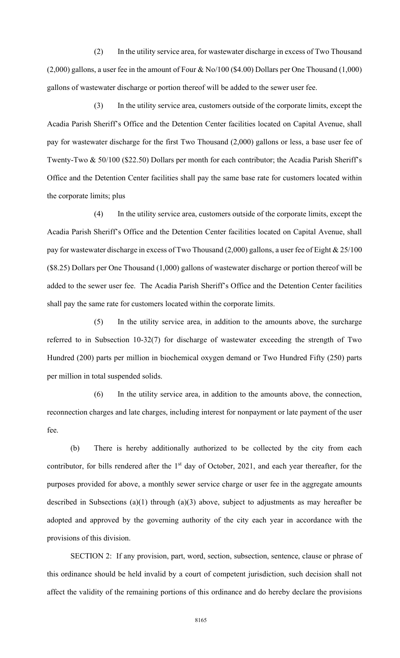(2) In the utility service area, for wastewater discharge in excess of Two Thousand (2,000) gallons, a user fee in the amount of Four & No/100 (\$4.00) Dollars per One Thousand (1,000) gallons of wastewater discharge or portion thereof will be added to the sewer user fee.

 (3) In the utility service area, customers outside of the corporate limits, except the Acadia Parish Sheriff's Office and the Detention Center facilities located on Capital Avenue, shall pay for wastewater discharge for the first Two Thousand (2,000) gallons or less, a base user fee of Twenty-Two & 50/100 (\$22.50) Dollars per month for each contributor; the Acadia Parish Sheriff's Office and the Detention Center facilities shall pay the same base rate for customers located within the corporate limits; plus

 (4) In the utility service area, customers outside of the corporate limits, except the Acadia Parish Sheriff's Office and the Detention Center facilities located on Capital Avenue, shall pay for wastewater discharge in excess of Two Thousand (2,000) gallons, a user fee of Eight & 25/100 (\$8.25) Dollars per One Thousand (1,000) gallons of wastewater discharge or portion thereof will be added to the sewer user fee. The Acadia Parish Sheriff's Office and the Detention Center facilities shall pay the same rate for customers located within the corporate limits.

 (5) In the utility service area, in addition to the amounts above, the surcharge referred to in Subsection 10-32(7) for discharge of wastewater exceeding the strength of Two Hundred (200) parts per million in biochemical oxygen demand or Two Hundred Fifty (250) parts per million in total suspended solids.

 (6) In the utility service area, in addition to the amounts above, the connection, reconnection charges and late charges, including interest for nonpayment or late payment of the user fee.

 (b) There is hereby additionally authorized to be collected by the city from each contributor, for bills rendered after the 1<sup>st</sup> day of October, 2021, and each year thereafter, for the purposes provided for above, a monthly sewer service charge or user fee in the aggregate amounts described in Subsections (a)(1) through (a)(3) above, subject to adjustments as may hereafter be adopted and approved by the governing authority of the city each year in accordance with the provisions of this division.

 SECTION 2: If any provision, part, word, section, subsection, sentence, clause or phrase of this ordinance should be held invalid by a court of competent jurisdiction, such decision shall not affect the validity of the remaining portions of this ordinance and do hereby declare the provisions

8165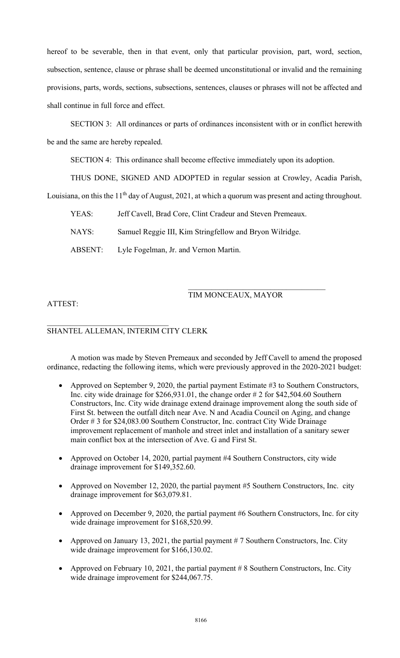hereof to be severable, then in that event, only that particular provision, part, word, section, subsection, sentence, clause or phrase shall be deemed unconstitutional or invalid and the remaining provisions, parts, words, sections, subsections, sentences, clauses or phrases will not be affected and shall continue in full force and effect.

 SECTION 3: All ordinances or parts of ordinances inconsistent with or in conflict herewith be and the same are hereby repealed.

SECTION 4: This ordinance shall become effective immediately upon its adoption.

THUS DONE, SIGNED AND ADOPTED in regular session at Crowley, Acadia Parish,

Louisiana, on this the  $11<sup>th</sup>$  day of August, 2021, at which a quorum was present and acting throughout.

| Jeff Cavell, Brad Core, Clint Cradeur and Steven Premeaux.<br>YEAS: |  |
|---------------------------------------------------------------------|--|
|---------------------------------------------------------------------|--|

NAYS: Samuel Reggie III, Kim Stringfellow and Bryon Wilridge.

ABSENT: Lyle Fogelman, Jr. and Vernon Martin.

## TIM MONCEAUX, MAYOR

## ATTEST:

## SHANTEL ALLEMAN, INTERIM CITY CLERK

 A motion was made by Steven Premeaux and seconded by Jeff Cavell to amend the proposed ordinance, redacting the following items, which were previously approved in the 2020-2021 budget:

- Approved on September 9, 2020, the partial payment Estimate #3 to Southern Constructors, Inc. city wide drainage for \$266,931.01, the change order # 2 for \$42,504.60 Southern Constructors, Inc. City wide drainage extend drainage improvement along the south side of First St. between the outfall ditch near Ave. N and Acadia Council on Aging, and change Order # 3 for \$24,083.00 Southern Constructor, Inc. contract City Wide Drainage improvement replacement of manhole and street inlet and installation of a sanitary sewer main conflict box at the intersection of Ave. G and First St.
- Approved on October 14, 2020, partial payment #4 Southern Constructors, city wide drainage improvement for \$149,352.60.
- Approved on November 12, 2020, the partial payment #5 Southern Constructors, Inc. city drainage improvement for \$63,079.81.
- Approved on December 9, 2020, the partial payment #6 Southern Constructors, Inc. for city wide drainage improvement for \$168,520.99.
- Approved on January 13, 2021, the partial payment  $# 7$  Southern Constructors, Inc. City wide drainage improvement for \$166,130.02.
- Approved on February 10, 2021, the partial payment  $\# 8$  Southern Constructors, Inc. City wide drainage improvement for \$244,067.75.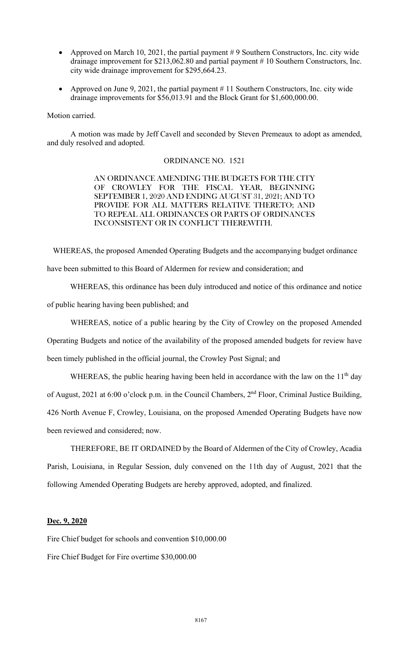- Approved on March 10, 2021, the partial payment  $# 9$  Southern Constructors, Inc. city wide drainage improvement for \$213,062.80 and partial payment # 10 Southern Constructors, Inc. city wide drainage improvement for \$295,664.23.
- Approved on June 9, 2021, the partial payment # 11 Southern Constructors, Inc. city wide drainage improvements for \$56,013.91 and the Block Grant for \$1,600,000.00.

### Motion carried.

 A motion was made by Jeff Cavell and seconded by Steven Premeaux to adopt as amended, and duly resolved and adopted.

### ORDINANCE NO. 1521

AN ORDINANCE AMENDING THE BUDGETS FOR THE CITY OF CROWLEY FOR THE FISCAL YEAR, BEGINNING SEPTEMBER 1, 2020 AND ENDING AUGUST 31, 2021; AND TO PROVIDE FOR ALL MATTERS RELATIVE THERETO; AND TO REPEAL ALL ORDINANCES OR PARTS OF ORDINANCES INCONSISTENT OR IN CONFLICT THEREWITH.

WHEREAS, the proposed Amended Operating Budgets and the accompanying budget ordinance

have been submitted to this Board of Aldermen for review and consideration; and

 WHEREAS, this ordinance has been duly introduced and notice of this ordinance and notice of public hearing having been published; and

WHEREAS, notice of a public hearing by the City of Crowley on the proposed Amended Operating Budgets and notice of the availability of the proposed amended budgets for review have been timely published in the official journal, the Crowley Post Signal; and

WHEREAS, the public hearing having been held in accordance with the law on the  $11<sup>th</sup>$  day of August, 2021 at 6:00 o'clock p.m. in the Council Chambers, 2<sup>nd</sup> Floor, Criminal Justice Building, 426 North Avenue F, Crowley, Louisiana, on the proposed Amended Operating Budgets have now been reviewed and considered; now.

THEREFORE, BE IT ORDAINED by the Board of Aldermen of the City of Crowley, Acadia Parish, Louisiana, in Regular Session, duly convened on the 11th day of August, 2021 that the following Amended Operating Budgets are hereby approved, adopted, and finalized.

## Dec. 9, 2020

Fire Chief budget for schools and convention \$10,000.00

Fire Chief Budget for Fire overtime \$30,000.00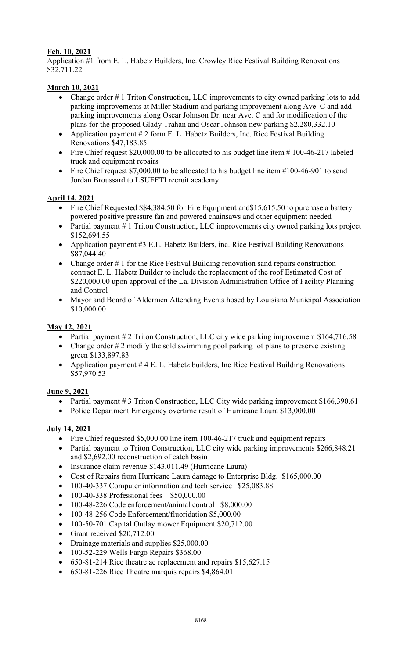## Feb. 10, 2021

Application #1 from E. L. Habetz Builders, Inc. Crowley Rice Festival Building Renovations \$32,711.22

## March 10, 2021

- Change order # 1 Triton Construction, LLC improvements to city owned parking lots to add parking improvements at Miller Stadium and parking improvement along Ave. C and add parking improvements along Oscar Johnson Dr. near Ave. C and for modification of the plans for the proposed Glady Trahan and Oscar Johnson new parking \$2,280,332.10
- Application payment # 2 form E. L. Habetz Builders, Inc. Rice Festival Building Renovations \$47,183.85
- Fire Chief request \$20,000.00 to be allocated to his budget line item # 100-46-217 labeled truck and equipment repairs
- Fire Chief request \$7,000.00 to be allocated to his budget line item #100-46-901 to send Jordan Broussard to LSUFETI recruit academy

## April 14, 2021

- Fire Chief Requested \$\$4,384.50 for Fire Equipment and \$15,615.50 to purchase a battery powered positive pressure fan and powered chainsaws and other equipment needed
- Partial payment # 1 Triton Construction, LLC improvements city owned parking lots project \$152,694.55
- Application payment #3 E.L. Habetz Builders, inc. Rice Festival Building Renovations \$87,044.40
- Change order # 1 for the Rice Festival Building renovation sand repairs construction contract E. L. Habetz Builder to include the replacement of the roof Estimated Cost of \$220,000.00 upon approval of the La. Division Administration Office of Facility Planning and Control
- Mayor and Board of Aldermen Attending Events hosed by Louisiana Municipal Association \$10,000.00

## May 12, 2021

- Partial payment # 2 Triton Construction, LLC city wide parking improvement \$164,716.58
- Change order  $# 2$  modify the sold swimming pool parking lot plans to preserve existing green \$133,897.83
- Application payment # 4 E. L. Habetz builders, Inc Rice Festival Building Renovations \$57,970.53

## June 9, 2021

- Partial payment # 3 Triton Construction, LLC City wide parking improvement \$166,390.61
- Police Department Emergency overtime result of Hurricane Laura \$13,000.00

## July 14, 2021

- Fire Chief requested \$5,000.00 line item 100-46-217 truck and equipment repairs
- Partial payment to Triton Construction, LLC city wide parking improvements \$266,848.21 and \$2,692.00 reconstruction of catch basin
- Insurance claim revenue \$143,011.49 (Hurricane Laura)
- Cost of Repairs from Hurricane Laura damage to Enterprise Bldg. \$165,000.00
- 100-40-337 Computer information and tech service \$25,083.88
- 100-40-338 Professional fees \$50,000.00
- 100-48-226 Code enforcement/animal control \$8,000.00
- 100-48-256 Code Enforcement/fluoridation \$5,000.00
- 100-50-701 Capital Outlay mower Equipment \$20,712.00
- Grant received  $$20,712.00$
- Drainage materials and supplies \$25,000.00
- 100-52-229 Wells Fargo Repairs \$368.00
- 650-81-214 Rice theatre ac replacement and repairs \$15,627.15
- 650-81-226 Rice Theatre marquis repairs \$4,864.01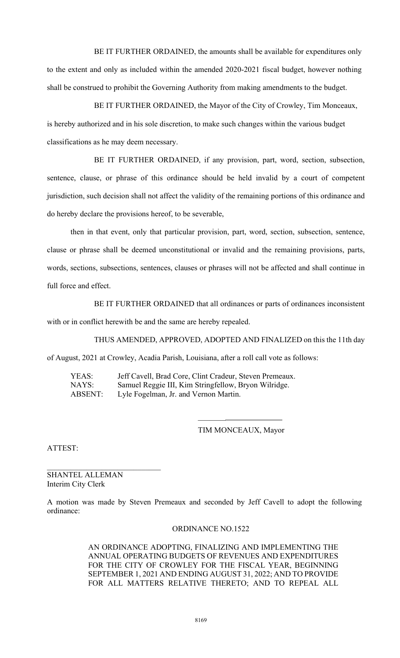BE IT FURTHER ORDAINED, the amounts shall be available for expenditures only to the extent and only as included within the amended 2020-2021 fiscal budget, however nothing shall be construed to prohibit the Governing Authority from making amendments to the budget.

 BE IT FURTHER ORDAINED, the Mayor of the City of Crowley, Tim Monceaux, is hereby authorized and in his sole discretion, to make such changes within the various budget classifications as he may deem necessary.

 BE IT FURTHER ORDAINED, if any provision, part, word, section, subsection, sentence, clause, or phrase of this ordinance should be held invalid by a court of competent jurisdiction, such decision shall not affect the validity of the remaining portions of this ordinance and do hereby declare the provisions hereof, to be severable,

then in that event, only that particular provision, part, word, section, subsection, sentence, clause or phrase shall be deemed unconstitutional or invalid and the remaining provisions, parts, words, sections, subsections, sentences, clauses or phrases will not be affected and shall continue in full force and effect.

 BE IT FURTHER ORDAINED that all ordinances or parts of ordinances inconsistent with or in conflict herewith be and the same are hereby repealed.

 THUS AMENDED, APPROVED, ADOPTED AND FINALIZED on this the 11th day of August, 2021 at Crowley, Acadia Parish, Louisiana, after a roll call vote as follows:

 YEAS: Jeff Cavell, Brad Core, Clint Cradeur, Steven Premeaux. NAYS: Samuel Reggie III, Kim Stringfellow, Bryon Wilridge. ABSENT: Lyle Fogelman, Jr. and Vernon Martin.

 $\mathcal{L}_\text{max}$  and  $\mathcal{L}_\text{max}$  are the set of the set of the set of the set of the set of the set of the set of the set of the set of the set of the set of the set of the set of the set of the set of the set of the set o

### TIM MONCEAUX, Mayor

ATTEST:

SHANTEL ALLEMAN Interim City Clerk

A motion was made by Steven Premeaux and seconded by Jeff Cavell to adopt the following ordinance:

### ORDINANCE NO.1522

AN ORDINANCE ADOPTING, FINALIZING AND IMPLEMENTING THE ANNUAL OPERATING BUDGETS OF REVENUES AND EXPENDITURES FOR THE CITY OF CROWLEY FOR THE FISCAL YEAR, BEGINNING SEPTEMBER 1, 2021 AND ENDING AUGUST 31, 2022; AND TO PROVIDE FOR ALL MATTERS RELATIVE THERETO; AND TO REPEAL ALL